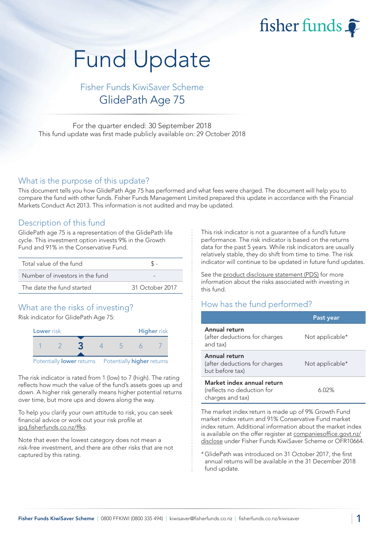fisher funds

# Fund Update

# Fisher Funds KiwiSaver Scheme GlidePath Age 75

For the quarter ended: 30 September 2018 This fund update was first made publicly available on: 29 October 2018

### What is the purpose of this update?

This document tells you how GlidePath Age 75 has performed and what fees were charged. The document will help you to compare the fund with other funds. Fisher Funds Management Limited prepared this update in accordance with the Financial Markets Conduct Act 2013. This information is not audited and may be updated.

## Description of this fund

GlidePath age 75 is a representation of the GlidePath life cycle. This investment option invests 9% in the Growth Fund and 91% in the Conservative Fund.

| Total value of the fund         |                 |  |
|---------------------------------|-----------------|--|
| Number of investors in the fund |                 |  |
| The date the fund started       | 31 October 2017 |  |

# What are the risks of investing?

Risk indicator for GlidePath Age 75:



The risk indicator is rated from 1 (low) to 7 (high). The rating reflects how much the value of the fund's assets goes up and down. A higher risk generally means higher potential returns over time, but more ups and downs along the way.

To help you clarify your own attitude to risk, you can seek financial advice or work out your risk profile at [ipq.fisherfunds.co.nz/ffks.](https://ipq.fisherfunds.co.nz/ffks)

Note that even the lowest category does not mean a risk-free investment, and there are other risks that are not captured by this rating.

This risk indicator is not a guarantee of a fund's future performance. The risk indicator is based on the returns data for the past 5 years. While risk indicators are usually relatively stable, they do shift from time to time. The risk indicator will continue to be updated in future fund updates.

See the [product disclosure statement \(PDS\)](https://fisherfunds.co.nz/assets/PDS/Fisher-Funds-KiwiSaver-Scheme-PDS.pdf) for more information about the risks associated with investing in this fund.

# How has the fund performed?

|                                                                              | Past year       |
|------------------------------------------------------------------------------|-----------------|
| Annual return<br>(after deductions for charges<br>and tax)                   | Not applicable* |
| Annual return<br>(after deductions for charges<br>but before tax)            | Not applicable* |
| Market index annual return<br>(reflects no deduction for<br>charges and tax) | 6.02%           |

The market index return is made up of 9% Growth Fund market index return and 91% Conservative Fund market index return. Additional information about the market index is available on the offer register at [companiesoffice.govt.nz/](http://companiesoffice.govt.nz/disclose) [disclose](http://companiesoffice.govt.nz/disclose) under Fisher Funds KiwiSaver Scheme or OFR10664.

\*GlidePath was introduced on 31 October 2017, the first annual returns will be available in the 31 December 2018 fund update.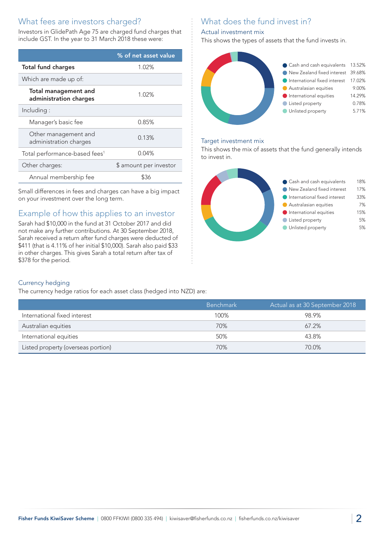# What fees are investors charged?

Investors in GlidePath Age 75 are charged fund charges that include GST. In the year to 31 March 2018 these were:

|                                                       | % of net asset value   |
|-------------------------------------------------------|------------------------|
| <b>Total fund charges</b>                             | 1.02%                  |
| Which are made up of:                                 |                        |
| <b>Total management and</b><br>administration charges | 1.02%                  |
| Including:                                            |                        |
| Manager's basic fee                                   | 0.85%                  |
| Other management and<br>administration charges        | 0.13%                  |
| Total performance-based fees <sup>1</sup>             | 0.04%                  |
| Other charges:                                        | \$ amount per investor |
| Annual membership fee                                 | \$36                   |

Small differences in fees and charges can have a big impact on your investment over the long term.

# Example of how this applies to an investor

Sarah had \$10,000 in the fund at 31 October 2017 and did not make any further contributions. At 30 September 2018, Sarah received a return after fund charges were deducted of \$411 (that is 4.11% of her initial \$10,000). Sarah also paid \$33 in other charges. This gives Sarah a total return after tax of \$378 for the period.

# What does the fund invest in?

## Actual investment mix

This shows the types of assets that the fund invests in.



### Target investment mix

This shows the mix of assets that the fund generally intends to invest in.



#### Currency hedging

The currency hedge ratios for each asset class (hedged into NZD) are:

|                                    | <b>Benchmark</b> | Actual as at 30 September 2018 |
|------------------------------------|------------------|--------------------------------|
| International fixed interest       | 100%             | 98.9%                          |
| Australian equities                | 70%              | $67.2\%$                       |
| International equities             | 50%              | 43.8%                          |
| Listed property (overseas portion) | 70%              | 70.0%                          |